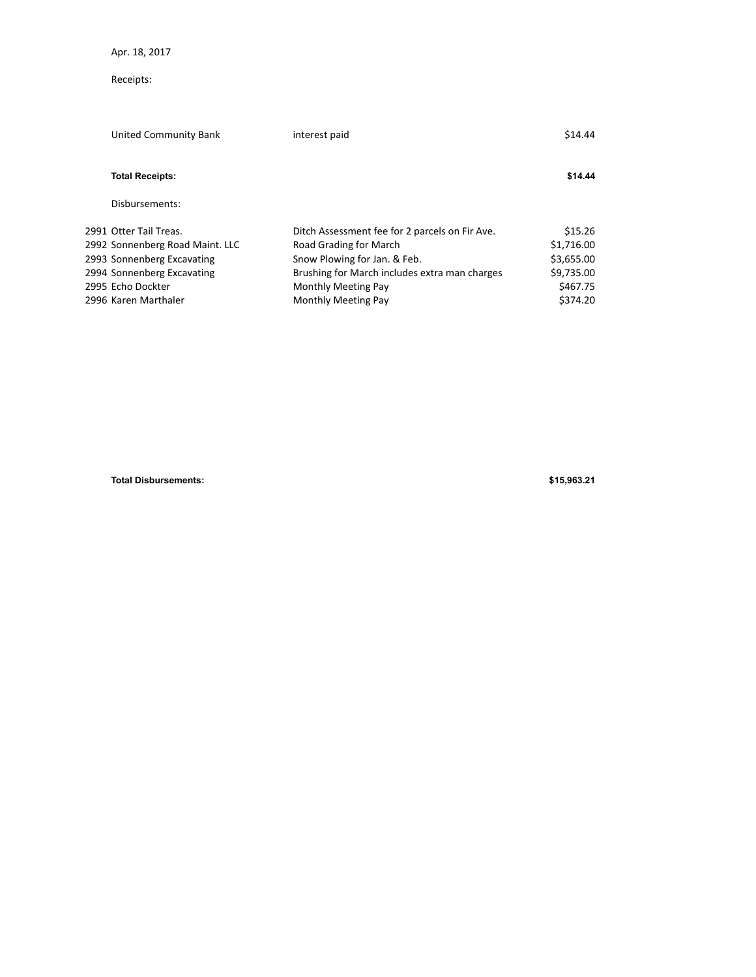Apr. 18, 2017

## Receipts:

| United Community Bank           | interest paid                                  | \$14.44    |
|---------------------------------|------------------------------------------------|------------|
| <b>Total Receipts:</b>          |                                                | \$14.44    |
| Disbursements:                  |                                                |            |
| 2991 Otter Tail Treas.          | Ditch Assessment fee for 2 parcels on Fir Ave. | \$15.26    |
| 2992 Sonnenberg Road Maint. LLC | Road Grading for March                         | \$1,716.00 |
| 2993 Sonnenberg Excavating      | Snow Plowing for Jan. & Feb.                   | \$3,655.00 |
| 2994 Sonnenberg Excavating      | Brushing for March includes extra man charges  | \$9,735.00 |
| 2995 Echo Dockter               | <b>Monthly Meeting Pay</b>                     | \$467.75   |
| 2996 Karen Marthaler            | <b>Monthly Meeting Pay</b>                     | \$374.20   |
|                                 |                                                |            |

**Total Disbursements: \$15,963.21**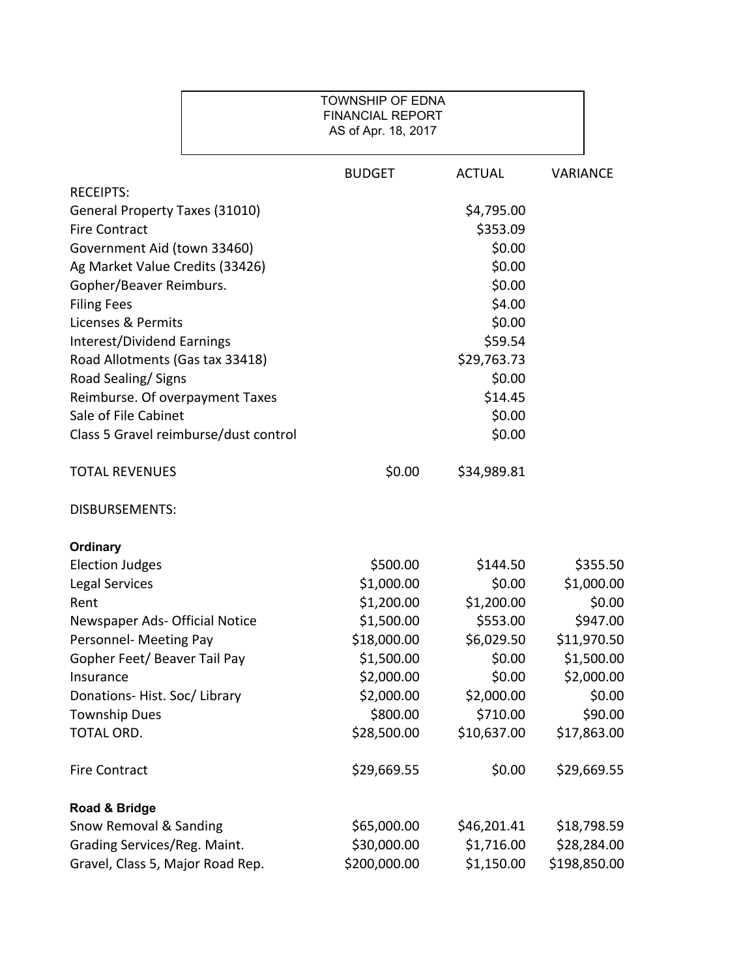## TOWNSHIP OF EDNA FINANCIAL REPORT AS of Apr. 18, 2017

|                                       | <b>BUDGET</b> | <b>ACTUAL</b> | <b>VARIANCE</b> |
|---------------------------------------|---------------|---------------|-----------------|
| <b>RECEIPTS:</b>                      |               |               |                 |
| General Property Taxes (31010)        |               | \$4,795.00    |                 |
| <b>Fire Contract</b>                  |               | \$353.09      |                 |
| Government Aid (town 33460)           |               | \$0.00        |                 |
| Ag Market Value Credits (33426)       |               | \$0.00        |                 |
| Gopher/Beaver Reimburs.               |               | \$0.00        |                 |
| <b>Filing Fees</b>                    |               | \$4.00        |                 |
| Licenses & Permits                    |               | \$0.00        |                 |
| <b>Interest/Dividend Earnings</b>     |               | \$59.54       |                 |
| Road Allotments (Gas tax 33418)       |               | \$29,763.73   |                 |
| Road Sealing/Signs                    |               | \$0.00        |                 |
| Reimburse. Of overpayment Taxes       |               | \$14.45       |                 |
| Sale of File Cabinet                  |               | \$0.00        |                 |
| Class 5 Gravel reimburse/dust control |               | \$0.00        |                 |
| <b>TOTAL REVENUES</b>                 | \$0.00        | \$34,989.81   |                 |
| <b>DISBURSEMENTS:</b>                 |               |               |                 |
| <b>Ordinary</b>                       |               |               |                 |
| <b>Election Judges</b>                | \$500.00      | \$144.50      | \$355.50        |
| <b>Legal Services</b>                 | \$1,000.00    | \$0.00        | \$1,000.00      |
| Rent                                  | \$1,200.00    | \$1,200.00    | \$0.00          |
| Newspaper Ads- Official Notice        | \$1,500.00    | \$553.00      | \$947.00        |
| Personnel- Meeting Pay                | \$18,000.00   | \$6,029.50    | \$11,970.50     |
| Gopher Feet/ Beaver Tail Pay          | \$1,500.00    | \$0.00        | \$1,500.00      |
| Insurance                             | \$2,000.00    | \$0.00        | \$2,000.00      |
| Donations-Hist. Soc/Library           | \$2,000.00    | \$2,000.00    | \$0.00          |
| <b>Township Dues</b>                  | \$800.00      | \$710.00      | \$90.00         |
| TOTAL ORD.                            | \$28,500.00   | \$10,637.00   | \$17,863.00     |
| <b>Fire Contract</b>                  | \$29,669.55   | \$0.00        | \$29,669.55     |
| Road & Bridge                         |               |               |                 |
| Snow Removal & Sanding                | \$65,000.00   | \$46,201.41   | \$18,798.59     |
| Grading Services/Reg. Maint.          | \$30,000.00   | \$1,716.00    | \$28,284.00     |
| Gravel, Class 5, Major Road Rep.      | \$200,000.00  | \$1,150.00    | \$198,850.00    |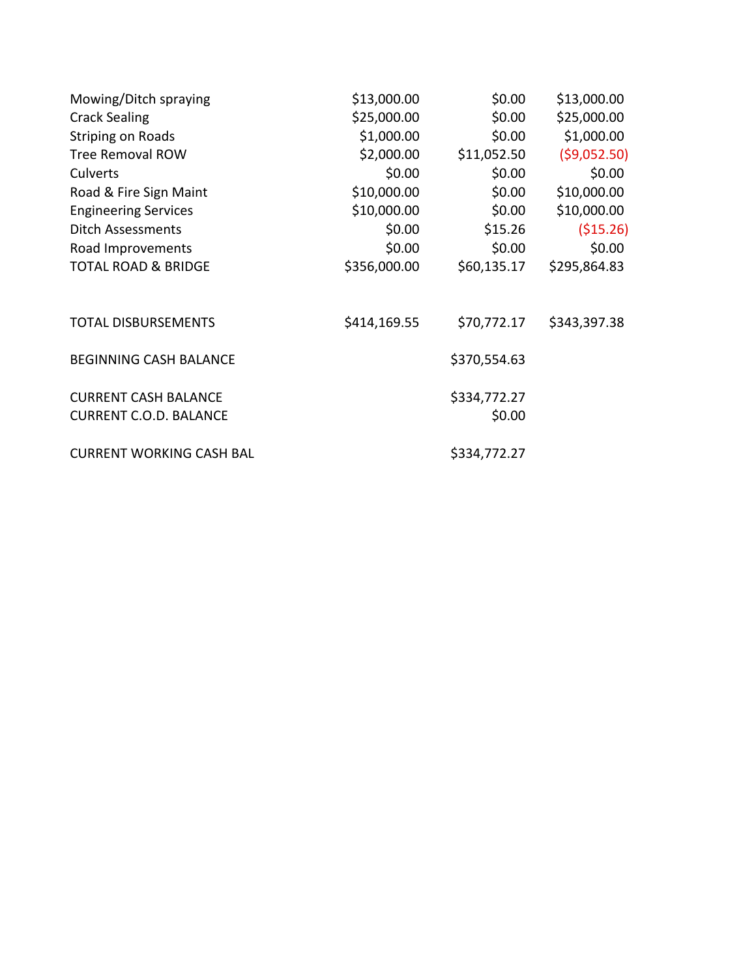| Mowing/Ditch spraying                                        | \$13,000.00  | \$0.00                 | \$13,000.00  |
|--------------------------------------------------------------|--------------|------------------------|--------------|
| <b>Crack Sealing</b>                                         | \$25,000.00  | \$0.00                 | \$25,000.00  |
| <b>Striping on Roads</b>                                     | \$1,000.00   | \$0.00                 | \$1,000.00   |
| <b>Tree Removal ROW</b>                                      | \$2,000.00   | \$11,052.50            | (59,052.50)  |
| Culverts                                                     | \$0.00       | \$0.00                 | \$0.00       |
| Road & Fire Sign Maint                                       | \$10,000.00  | \$0.00                 | \$10,000.00  |
| <b>Engineering Services</b>                                  | \$10,000.00  | \$0.00                 | \$10,000.00  |
| Ditch Assessments                                            | \$0.00       | \$15.26                | ( \$15.26)   |
| Road Improvements                                            | \$0.00       | \$0.00                 | \$0.00       |
| <b>TOTAL ROAD &amp; BRIDGE</b>                               | \$356,000.00 | \$60,135.17            | \$295,864.83 |
| <b>TOTAL DISBURSEMENTS</b>                                   | \$414,169.55 | \$70,772.17            | \$343,397.38 |
| <b>BEGINNING CASH BALANCE</b>                                |              | \$370,554.63           |              |
| <b>CURRENT CASH BALANCE</b><br><b>CURRENT C.O.D. BALANCE</b> |              | \$334,772.27<br>\$0.00 |              |
| <b>CURRENT WORKING CASH BAL</b>                              |              | \$334,772.27           |              |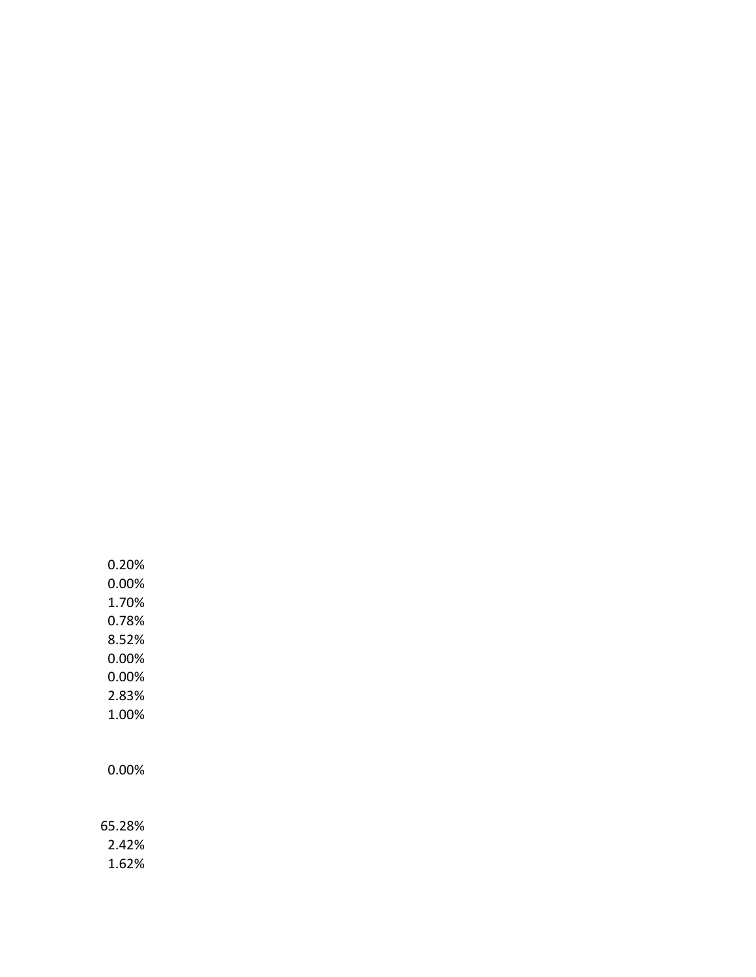0.20% 0.00% 1.70% 0.78% 8.52% 0.00% 0.00% 2.83% 1.00%

0.00%

65.28% 2.42%

1.62%